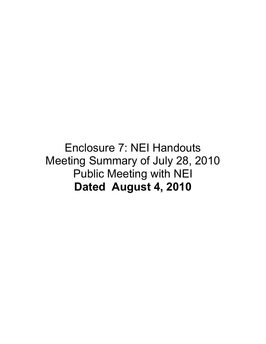## Enclosure 7: NEI Handouts Meeting Summary of July 28, 2010 Public Meeting with NEI **Dated August 4, 2010**